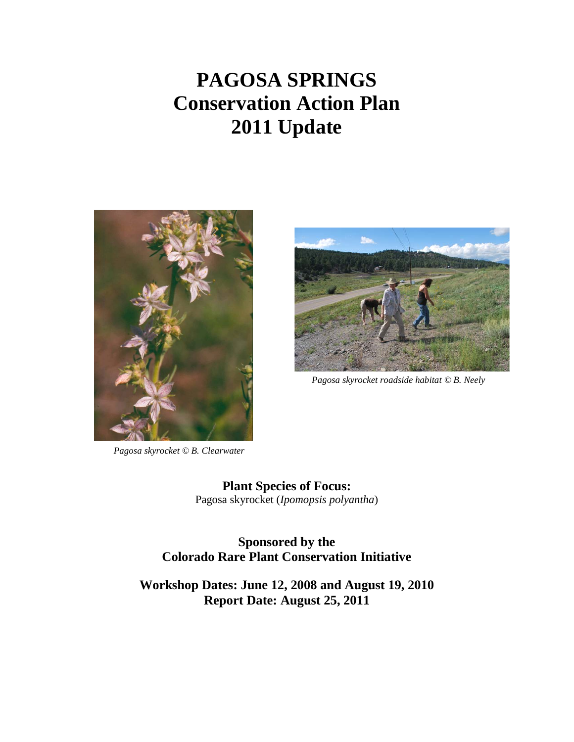# **PAGOSA SPRINGS Conservation Action Plan 2011 Update**





*Pagosa skyrocket roadside habitat © B. Neely*

*Pagosa skyrocket © B. Clearwater* 

**Plant Species of Focus:** Pagosa skyrocket (*Ipomopsis polyantha*)

**Sponsored by the Colorado Rare Plant Conservation Initiative**

**Workshop Dates: June 12, 2008 and August 19, 2010 Report Date: August 25, 2011**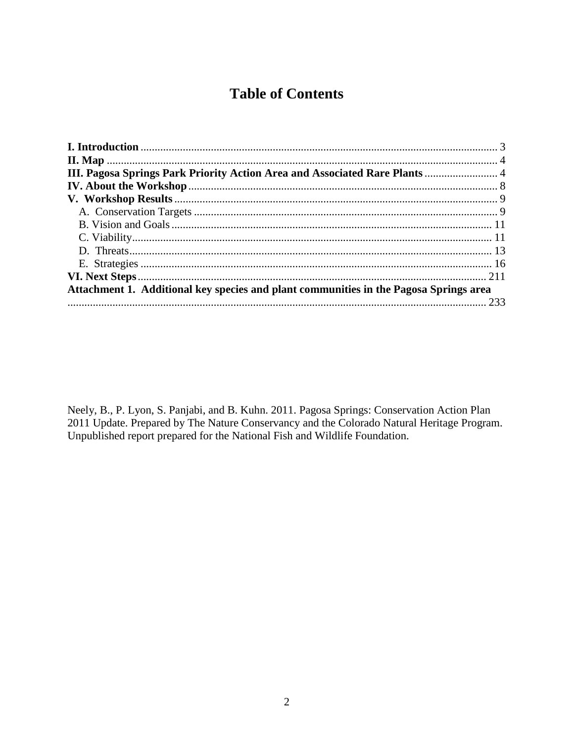# **Table of Contents**

| III. Pagosa Springs Park Priority Action Area and Associated Rare Plants  4           |  |
|---------------------------------------------------------------------------------------|--|
|                                                                                       |  |
|                                                                                       |  |
|                                                                                       |  |
|                                                                                       |  |
|                                                                                       |  |
|                                                                                       |  |
|                                                                                       |  |
|                                                                                       |  |
| Attachment 1. Additional key species and plant communities in the Pagosa Springs area |  |
|                                                                                       |  |

Neely, B., P. Lyon, S. Panjabi, and B. Kuhn. 2011. Pagosa Springs: Conservation Action Plan 2011 Update. Prepared by The Nature Conservancy and the Colorado Natural Heritage Program. Unpublished report prepared for the National Fish and Wildlife Foundation.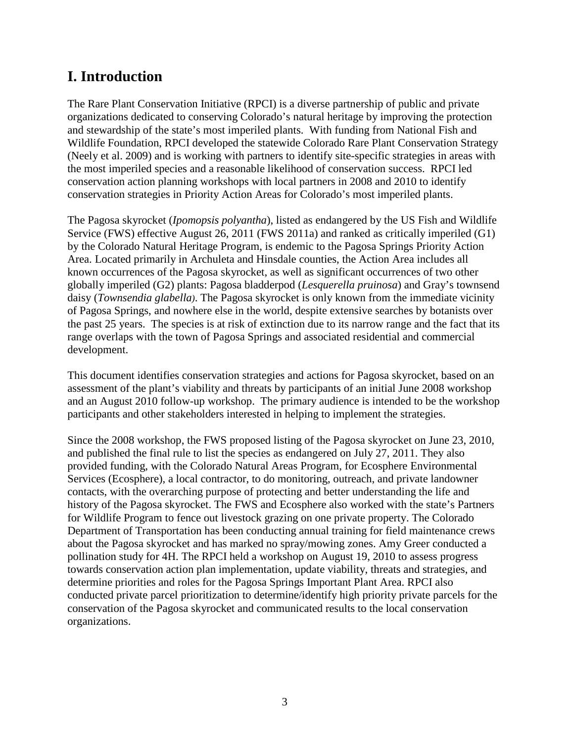# <span id="page-2-0"></span>**I. Introduction**

The Rare Plant Conservation Initiative (RPCI) is a diverse partnership of public and private organizations dedicated to conserving Colorado's natural heritage by improving the protection and stewardship of the state's most imperiled plants. With funding from National Fish and Wildlife Foundation, RPCI developed the statewide Colorado Rare Plant Conservation Strategy (Neely et al. 2009) and is working with partners to identify site-specific strategies in areas with the most imperiled species and a reasonable likelihood of conservation success. RPCI led conservation action planning workshops with local partners in 2008 and 2010 to identify conservation strategies in Priority Action Areas for Colorado's most imperiled plants.

The Pagosa skyrocket (*Ipomopsis polyantha*), listed as endangered by the US Fish and Wildlife Service (FWS) effective August 26, 2011 (FWS 2011a) and ranked as critically imperiled (G1) by the Colorado Natural Heritage Program, is endemic to the Pagosa Springs Priority Action Area. Located primarily in Archuleta and Hinsdale counties, the Action Area includes all known occurrences of the Pagosa skyrocket, as well as significant occurrences of two other globally imperiled (G2) plants: Pagosa bladderpod (*Lesquerella pruinosa*) and Gray's townsend daisy (*Townsendia glabella)*. The Pagosa skyrocket is only known from the immediate vicinity of Pagosa Springs, and nowhere else in the world, despite extensive searches by botanists over the past 25 years. The species is at risk of extinction due to its narrow range and the fact that its range overlaps with the town of Pagosa Springs and associated residential and commercial development.

This document identifies conservation strategies and actions for Pagosa skyrocket, based on an assessment of the plant's viability and threats by participants of an initial June 2008 workshop and an August 2010 follow-up workshop. The primary audience is intended to be the workshop participants and other stakeholders interested in helping to implement the strategies.

<span id="page-2-1"></span>Since the 2008 workshop, the FWS proposed listing of the Pagosa skyrocket on June 23, 2010, and published the final rule to list the species as endangered on July 27, 2011. They also provided funding, with the Colorado Natural Areas Program, for Ecosphere Environmental Services (Ecosphere), a local contractor, to do monitoring, outreach, and private landowner contacts, with the overarching purpose of protecting and better understanding the life and history of the Pagosa skyrocket. The FWS and Ecosphere also worked with the state's Partners for Wildlife Program to fence out livestock grazing on one private property. The Colorado Department of Transportation has been conducting annual training for field maintenance crews about the Pagosa skyrocket and has marked no spray/mowing zones. Amy Greer conducted a pollination study for 4H. The RPCI held a workshop on August 19, 2010 to assess progress towards conservation action plan implementation, update viability, threats and strategies, and determine priorities and roles for the Pagosa Springs Important Plant Area. RPCI also conducted private parcel prioritization to determine/identify high priority private parcels for the conservation of the Pagosa skyrocket and communicated results to the local conservation organizations.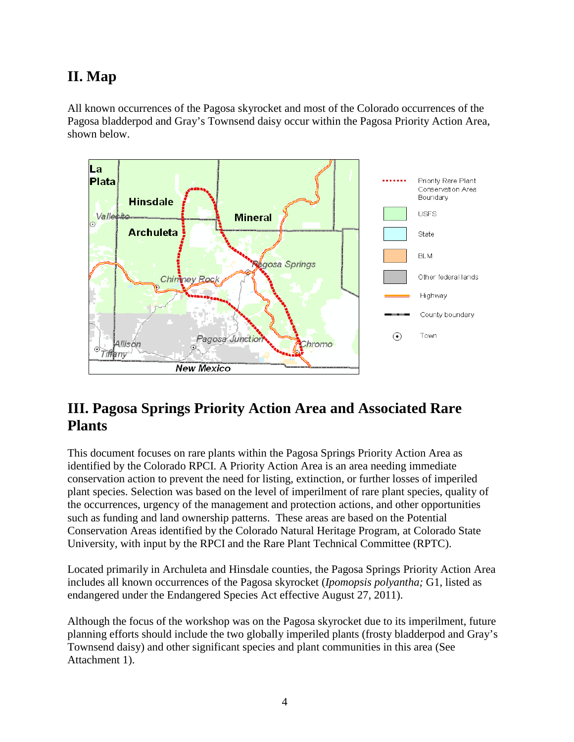# **II. Map**

All known occurrences of the Pagosa skyrocket and most of the Colorado occurrences of the Pagosa bladderpod and Gray's Townsend daisy occur within the Pagosa Priority Action Area, shown below.



# <span id="page-3-0"></span>**III. Pagosa Springs Priority Action Area and Associated Rare Plants**

This document focuses on rare plants within the Pagosa Springs Priority Action Area as identified by the Colorado RPCI. A Priority Action Area is an area needing immediate conservation action to prevent the need for listing, extinction, or further losses of imperiled plant species. Selection was based on the level of imperilment of rare plant species, quality of the occurrences, urgency of the management and protection actions, and other opportunities such as funding and land ownership patterns. These areas are based on the Potential Conservation Areas identified by the Colorado Natural Heritage Program, at Colorado State University, with input by the RPCI and the Rare Plant Technical Committee (RPTC).

Located primarily in Archuleta and Hinsdale counties, the Pagosa Springs Priority Action Area includes all known occurrences of the Pagosa skyrocket (*Ipomopsis polyantha;* G1, listed as endangered under the Endangered Species Act effective August 27, 2011).

Although the focus of the workshop was on the Pagosa skyrocket due to its imperilment, future planning efforts should include the two globally imperiled plants (frosty bladderpod and Gray's Townsend daisy) and other significant species and plant communities in this area (See Attachment 1).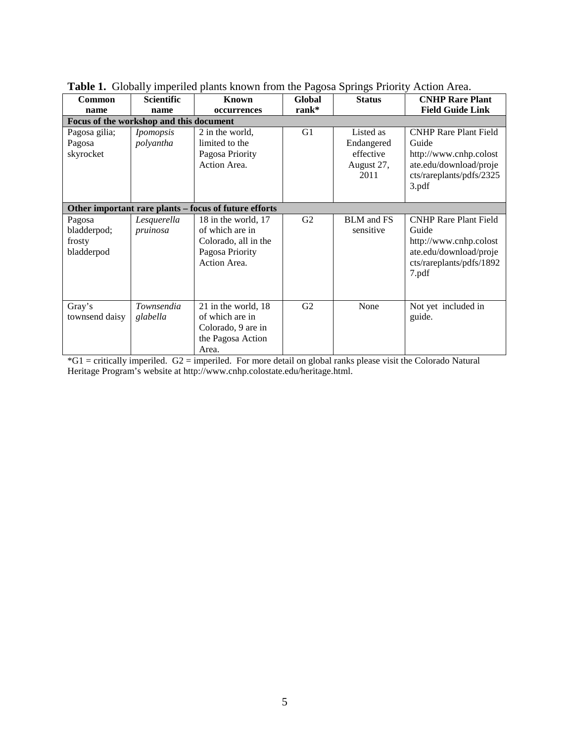| <b>Common</b>                                 | <b>Scientific</b>             | 1. Sloomly imperited plants allows the figure of a springs I florid<br>Known                      | <b>Global</b>  | <b>Status</b>                                              | <b>CNHP Rare Plant</b>                                                                                                         |
|-----------------------------------------------|-------------------------------|---------------------------------------------------------------------------------------------------|----------------|------------------------------------------------------------|--------------------------------------------------------------------------------------------------------------------------------|
| name                                          | name                          | occurrences                                                                                       | rank*          |                                                            | <b>Field Guide Link</b>                                                                                                        |
| Focus of the workshop and this document       |                               |                                                                                                   |                |                                                            |                                                                                                                                |
| Pagosa gilia;<br>Pagosa<br>skyrocket          | <i>Ipomopsis</i><br>polyantha | 2 in the world,<br>limited to the<br>Pagosa Priority<br>Action Area.                              | G <sub>1</sub> | Listed as<br>Endangered<br>effective<br>August 27,<br>2011 | <b>CNHP Rare Plant Field</b><br>Guide<br>http://www.cnhp.colost<br>ate.edu/download/proje<br>cts/rareplants/pdfs/2325<br>3.pdf |
|                                               |                               | Other important rare plants - focus of future efforts                                             |                |                                                            |                                                                                                                                |
| Pagosa<br>bladderpod;<br>frosty<br>bladderpod | Lesquerella<br>pruinosa       | 18 in the world, 17<br>of which are in<br>Colorado, all in the<br>Pagosa Priority<br>Action Area. | G2             | <b>BLM</b> and FS<br>sensitive                             | <b>CNHP Rare Plant Field</b><br>Guide<br>http://www.cnhp.colost<br>ate.edu/download/proje<br>cts/rareplants/pdfs/1892<br>7.pdf |
| Gray's<br>townsend daisy                      | Townsendia<br>glabella        | 21 in the world, 18<br>of which are in<br>Colorado, 9 are in<br>the Pagosa Action<br>Area.        | G <sub>2</sub> | None                                                       | Not yet included in<br>guide.                                                                                                  |

**Table 1.** Globally imperiled plants known from the Pagosa Springs Priority Action Area.

\*G1 = critically imperiled. G2 = imperiled. For more detail on global ranks please visit the Colorado Natural Heritage Program's website at http://www.cnhp.colostate.edu/heritage.html.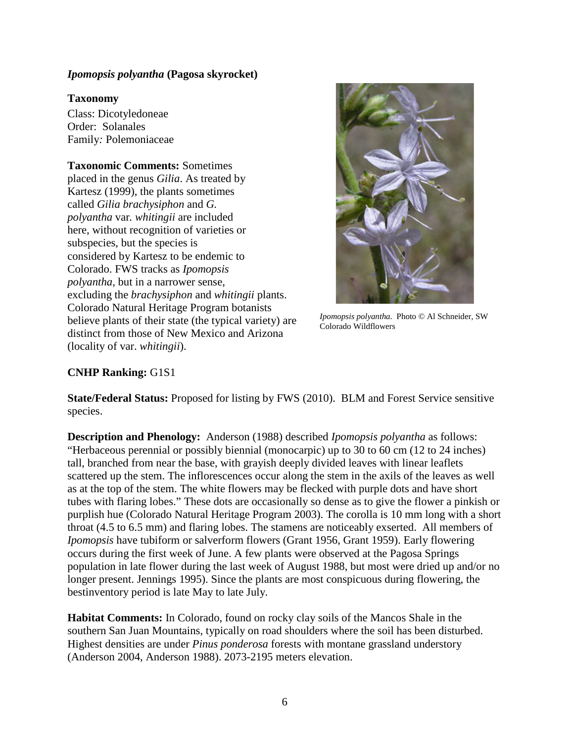#### *Ipomopsis polyantha* **(Pagosa skyrocket)**

#### **Taxonomy**

Class: Dicotyledoneae Order: Solanales Family*:* Polemoniaceae

### **Taxonomic Comments:** Sometimes

placed in the genus *Gilia*. As treated by Kartesz (1999), the plants sometimes called *Gilia brachysiphon* and *G. polyantha* var*. whitingii* are included here, without recognition of varieties or subspecies, but the species is considered by Kartesz to be endemic to Colorado. FWS tracks as *Ipomopsis polyantha*, but in a narrower sense, excluding the *brachysiphon* and *whitingii* plants. Colorado Natural Heritage Program botanists believe plants of their state (the typical variety) are distinct from those of New Mexico and Arizona (locality of var. *whitingii*).



*Ipomopsis polyantha.* Photo © Al Schneider, SW Colorado Wildflowers

#### **CNHP Ranking:** G1S1

**State/Federal Status:** Proposed for listing by FWS (2010). BLM and Forest Service sensitive species.

**Description and Phenology:** Anderson (1988) described *Ipomopsis polyantha* as follows: "Herbaceous perennial or possibly biennial (monocarpic) up to 30 to 60 cm (12 to 24 inches) tall, branched from near the base, with grayish deeply divided leaves with linear leaflets scattered up the stem. The inflorescences occur along the stem in the axils of the leaves as well as at the top of the stem. The white flowers may be flecked with purple dots and have short tubes with flaring lobes." These dots are occasionally so dense as to give the flower a pinkish or purplish hue (Colorado Natural Heritage Program 2003). The corolla is 10 mm long with a short throat (4.5 to 6.5 mm) and flaring lobes. The stamens are noticeably exserted. All members of *Ipomopsis* have tubiform or salverform flowers (Grant 1956, Grant 1959). Early flowering occurs during the first week of June. A few plants were observed at the Pagosa Springs population in late flower during the last week of August 1988, but most were dried up and/or no longer present. Jennings 1995). Since the plants are most conspicuous during flowering, the bestinventory period is late May to late July.

**Habitat Comments:** In Colorado, found on rocky clay soils of the Mancos Shale in the southern San Juan Mountains, typically on road shoulders where the soil has been disturbed. Highest densities are under *Pinus ponderosa* forests with montane grassland understory (Anderson 2004, Anderson 1988). 2073-2195 meters elevation.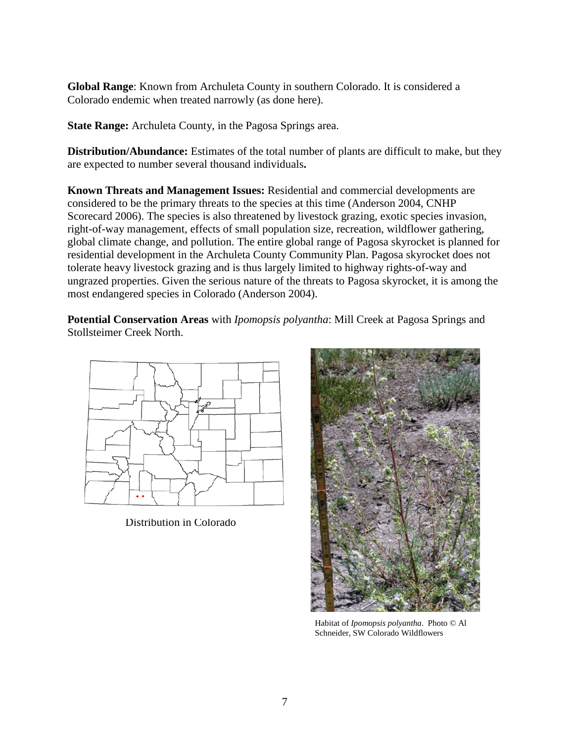**Global Range**: Known from Archuleta County in southern Colorado. It is considered a Colorado endemic when treated narrowly (as done here).

**State Range:** Archuleta County, in the Pagosa Springs area.

**Distribution/Abundance:** Estimates of the total number of plants are difficult to make, but they are expected to number several thousand individuals**.**

**Known Threats and Management Issues:** Residential and commercial developments are considered to be the primary threats to the species at this time (Anderson 2004, CNHP Scorecard 2006). The species is also threatened by livestock grazing, exotic species invasion, right-of-way management, effects of small population size, recreation, wildflower gathering, global climate change, and pollution. The entire global range of Pagosa skyrocket is planned for residential development in the Archuleta County Community Plan. Pagosa skyrocket does not tolerate heavy livestock grazing and is thus largely limited to highway rights-of-way and ungrazed properties. Given the serious nature of the threats to Pagosa skyrocket, it is among the most endangered species in Colorado (Anderson 2004).

**Potential Conservation Areas** with *Ipomopsis polyantha*: Mill Creek at Pagosa Springs and Stollsteimer Creek North.



Distribution in Colorado



Habitat of *Ipomopsis polyantha*. Photo © Al Schneider, SW Colorado Wildflowers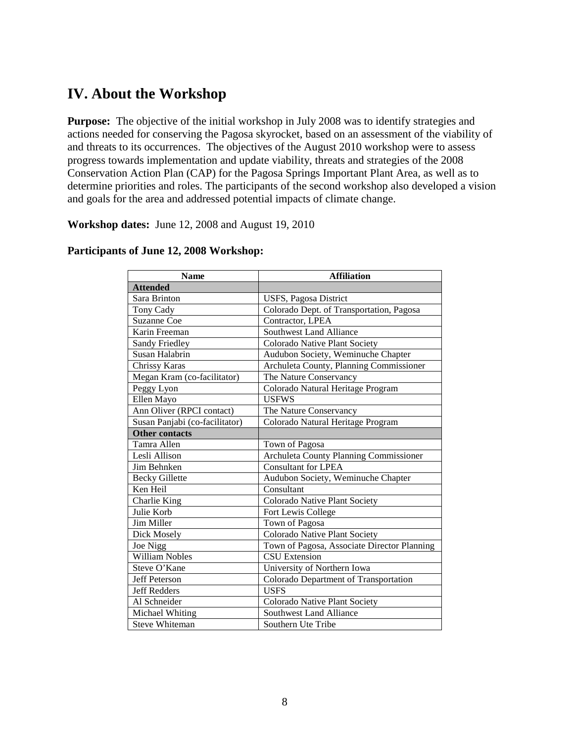# <span id="page-7-0"></span>**IV. About the Workshop**

**Purpose:** The objective of the initial workshop in July 2008 was to identify strategies and actions needed for conserving the Pagosa skyrocket, based on an assessment of the viability of and threats to its occurrences. The objectives of the August 2010 workshop were to assess progress towards implementation and update viability, threats and strategies of the 2008 Conservation Action Plan (CAP) for the Pagosa Springs Important Plant Area, as well as to determine priorities and roles. The participants of the second workshop also developed a vision and goals for the area and addressed potential impacts of climate change.

**Workshop dates:** June 12, 2008 and August 19, 2010

| <b>Name</b>                    | <b>Affiliation</b>                            |  |  |  |
|--------------------------------|-----------------------------------------------|--|--|--|
| <b>Attended</b>                |                                               |  |  |  |
| Sara Brinton                   | USFS, Pagosa District                         |  |  |  |
| Tony Cady                      | Colorado Dept. of Transportation, Pagosa      |  |  |  |
| <b>Suzanne Coe</b>             | Contractor, LPEA                              |  |  |  |
| Karin Freeman                  | <b>Southwest Land Alliance</b>                |  |  |  |
| Sandy Friedley                 | Colorado Native Plant Society                 |  |  |  |
| Susan Halabrin                 | Audubon Society, Weminuche Chapter            |  |  |  |
| Chrissy Karas                  | Archuleta County, Planning Commissioner       |  |  |  |
| Megan Kram (co-facilitator)    | The Nature Conservancy                        |  |  |  |
| Peggy Lyon                     | Colorado Natural Heritage Program             |  |  |  |
| Ellen Mayo                     | <b>USFWS</b>                                  |  |  |  |
| Ann Oliver (RPCI contact)      | The Nature Conservancy                        |  |  |  |
| Susan Panjabi (co-facilitator) | Colorado Natural Heritage Program             |  |  |  |
| <b>Other contacts</b>          |                                               |  |  |  |
| Tamra Allen                    | Town of Pagosa                                |  |  |  |
| Lesli Allison                  | <b>Archuleta County Planning Commissioner</b> |  |  |  |
| Jim Behnken                    | <b>Consultant for LPEA</b>                    |  |  |  |
| <b>Becky Gillette</b>          | Audubon Society, Weminuche Chapter            |  |  |  |
| Ken Heil                       | Consultant                                    |  |  |  |
| Charlie King                   | Colorado Native Plant Society                 |  |  |  |
| Julie Korb                     | Fort Lewis College                            |  |  |  |
| Jim Miller                     | Town of Pagosa                                |  |  |  |
| Dick Mosely                    | Colorado Native Plant Society                 |  |  |  |
| Joe Nigg                       | Town of Pagosa, Associate Director Planning   |  |  |  |
| William Nobles                 | <b>CSU</b> Extension                          |  |  |  |
| Steve O'Kane                   | University of Northern Iowa                   |  |  |  |
| <b>Jeff Peterson</b>           | Colorado Department of Transportation         |  |  |  |
| <b>Jeff Redders</b>            | <b>USFS</b>                                   |  |  |  |
| Al Schneider                   | Colorado Native Plant Society                 |  |  |  |
| Michael Whiting                | <b>Southwest Land Alliance</b>                |  |  |  |
| <b>Steve Whiteman</b>          | Southern Ute Tribe                            |  |  |  |

#### **Participants of June 12, 2008 Workshop:**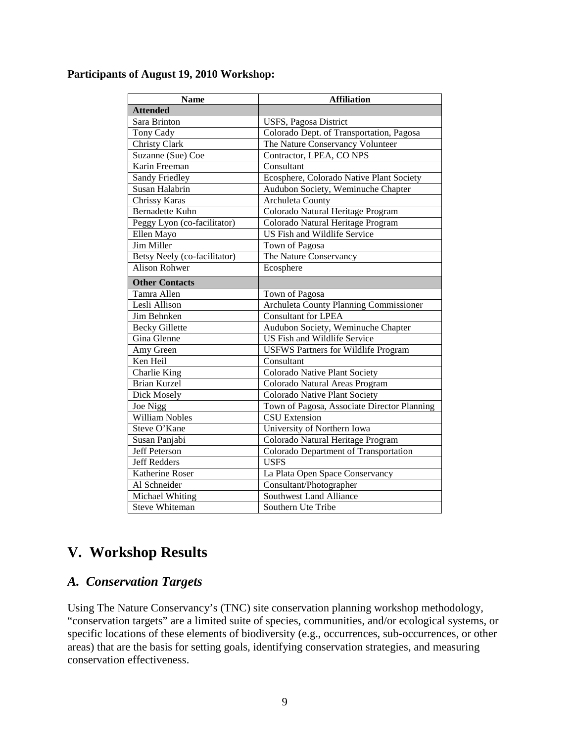#### **Participants of August 19, 2010 Workshop:**

| <b>Name</b>                  | <b>Affiliation</b>                          |  |
|------------------------------|---------------------------------------------|--|
| <b>Attended</b>              |                                             |  |
| Sara Brinton                 | USFS, Pagosa District                       |  |
| Tony Cady                    | Colorado Dept. of Transportation, Pagosa    |  |
| Christy Clark                | The Nature Conservancy Volunteer            |  |
| Suzanne (Sue) Coe            | Contractor, LPEA, CO NPS                    |  |
| Karin Freeman                | $\overline{\text{Constant}}$                |  |
| Sandy Friedley               | Ecosphere, Colorado Native Plant Society    |  |
| Susan Halabrin               | Audubon Society, Weminuche Chapter          |  |
| Chrissy Karas                | <b>Archuleta County</b>                     |  |
| <b>Bernadette Kuhn</b>       | Colorado Natural Heritage Program           |  |
| Peggy Lyon (co-facilitator)  | Colorado Natural Heritage Program           |  |
| Ellen Mayo                   | US Fish and Wildlife Service                |  |
| Jim Miller                   | Town of Pagosa                              |  |
| Betsy Neely (co-facilitator) | The Nature Conservancy                      |  |
| <b>Alison Rohwer</b>         | Ecosphere                                   |  |
| <b>Other Contacts</b>        |                                             |  |
| Tamra Allen                  | Town of Pagosa                              |  |
| Lesli Allison                | Archuleta County Planning Commissioner      |  |
| Jim Behnken                  | <b>Consultant for LPEA</b>                  |  |
| <b>Becky Gillette</b>        | Audubon Society, Weminuche Chapter          |  |
| Gina Glenne                  | US Fish and Wildlife Service                |  |
| Amy Green                    | USFWS Partners for Wildlife Program         |  |
| Ken Heil                     | Consultant                                  |  |
| Charlie King                 | Colorado Native Plant Society               |  |
| <b>Brian Kurzel</b>          | Colorado Natural Areas Program              |  |
| Dick Mosely                  | Colorado Native Plant Society               |  |
| Joe Nigg                     | Town of Pagosa, Associate Director Planning |  |
| <b>William Nobles</b>        | <b>CSU</b> Extension                        |  |
| Steve O'Kane                 | University of Northern Iowa                 |  |
| Susan Panjabi                | Colorado Natural Heritage Program           |  |
| <b>Jeff Peterson</b>         | Colorado Department of Transportation       |  |
| <b>Jeff Redders</b>          | <b>USFS</b>                                 |  |
| Katherine Roser              | La Plata Open Space Conservancy             |  |
| Al Schneider                 | Consultant/Photographer                     |  |
| Michael Whiting              | <b>Southwest Land Alliance</b>              |  |
| Steve Whiteman               | Southern Ute Tribe                          |  |

# <span id="page-8-0"></span>**V. Workshop Results**

### <span id="page-8-1"></span>*A. Conservation Targets*

Using The Nature Conservancy's (TNC) site conservation planning workshop methodology, "conservation targets" are a limited suite of species, communities, and/or ecological systems, or specific locations of these elements of biodiversity (e.g., occurrences, sub-occurrences, or other areas) that are the basis for setting goals, identifying conservation strategies, and measuring conservation effectiveness.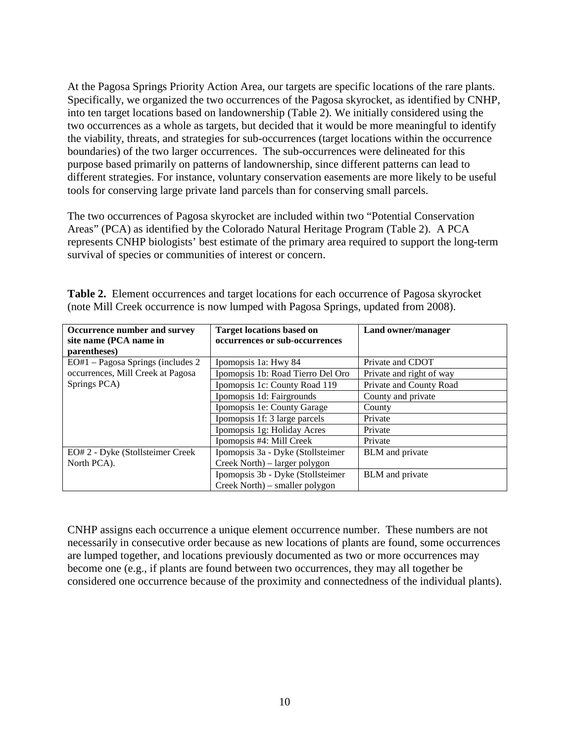At the Pagosa Springs Priority Action Area, our targets are specific locations of the rare plants. Specifically, we organized the two occurrences of the Pagosa skyrocket, as identified by CNHP, into ten target locations based on landownership (Table 2). We initially considered using the two occurrences as a whole as targets, but decided that it would be more meaningful to identify the viability, threats, and strategies for sub-occurrences (target locations within the occurrence boundaries) of the two larger occurrences. The sub-occurrences were delineated for this purpose based primarily on patterns of landownership, since different patterns can lead to different strategies. For instance, voluntary conservation easements are more likely to be useful tools for conserving large private land parcels than for conserving small parcels.

The two occurrences of Pagosa skyrocket are included within two "Potential Conservation Areas" (PCA) as identified by the Colorado Natural Heritage Program (Table 2). A PCA represents CNHP biologists' best estimate of the primary area required to support the long-term survival of species or communities of interest or concern.

| Occurrence number and survey        | <b>Target locations based on</b>  | Land owner/manager       |  |
|-------------------------------------|-----------------------------------|--------------------------|--|
| site name (PCA name in              | occurrences or sub-occurrences    |                          |  |
| parentheses)                        |                                   |                          |  |
| $EO#1 - Pagosa$ Springs (includes 2 | Ipomopsis 1a: Hwy 84              | Private and CDOT         |  |
| occurrences, Mill Creek at Pagosa   | Ipomopsis 1b: Road Tierro Del Oro | Private and right of way |  |
| Springs PCA)                        | Ipomopsis 1c: County Road 119     | Private and County Road  |  |
|                                     | Ipomopsis 1d: Fairgrounds         | County and private       |  |
|                                     | Ipomopsis 1e: County Garage       | County                   |  |
|                                     | Ipomopsis 1f: 3 large parcels     | Private                  |  |
|                                     | Ipomopsis 1g: Holiday Acres       | Private                  |  |
|                                     | Ipomopsis #4: Mill Creek          | Private                  |  |
| EO# 2 - Dyke (Stollsteimer Creek    | Ipomopsis 3a - Dyke (Stollsteimer | <b>BLM</b> and private   |  |
| North PCA).                         | Creek North) – larger polygon     |                          |  |
|                                     | Ipomopsis 3b - Dyke (Stollsteimer | BLM and private          |  |
|                                     | Creek North) – smaller polygon    |                          |  |

**Table 2.** Element occurrences and target locations for each occurrence of Pagosa skyrocket (note Mill Creek occurrence is now lumped with Pagosa Springs, updated from 2008).

<span id="page-9-0"></span>CNHP assigns each occurrence a unique element occurrence number. These numbers are not necessarily in consecutive order because as new locations of plants are found, some occurrences are lumped together, and locations previously documented as two or more occurrences may become one (e.g., if plants are found between two occurrences, they may all together be considered one occurrence because of the proximity and connectedness of the individual plants).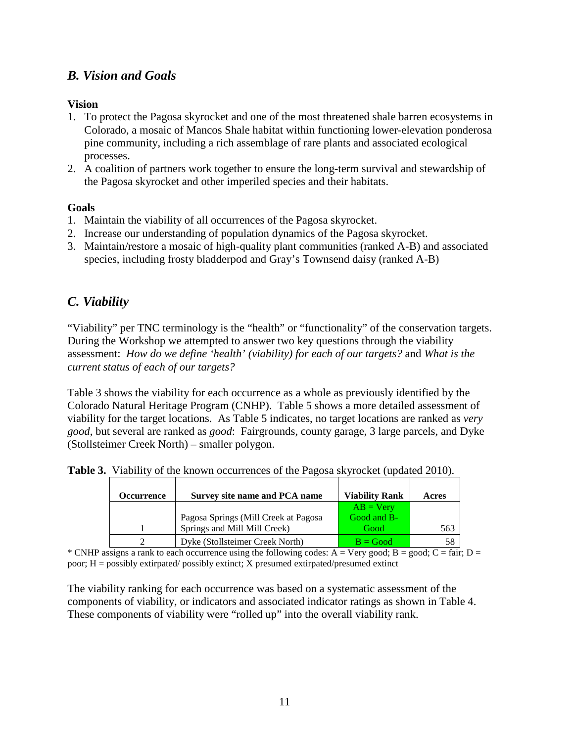### *B. Vision and Goals*

#### **Vision**

- 1. To protect the Pagosa skyrocket and one of the most threatened shale barren ecosystems in Colorado, a mosaic of Mancos Shale habitat within functioning lower-elevation ponderosa pine community, including a rich assemblage of rare plants and associated ecological processes.
- 2. A coalition of partners work together to ensure the long-term survival and stewardship of the Pagosa skyrocket and other imperiled species and their habitats.

#### **Goals**

- 1. Maintain the viability of all occurrences of the Pagosa skyrocket.
- 2. Increase our understanding of population dynamics of the Pagosa skyrocket.
- 3. Maintain/restore a mosaic of high-quality plant communities (ranked A-B) and associated species, including frosty bladderpod and Gray's Townsend daisy (ranked A-B)

### <span id="page-10-0"></span>*C. Viability*

"Viability" per TNC terminology is the "health" or "functionality" of the conservation targets. During the Workshop we attempted to answer two key questions through the viability assessment: *How do we define 'health' (viability) for each of our targets?* and *What is the current status of each of our targets?*

Table 3 shows the viability for each occurrence as a whole as previously identified by the Colorado Natural Heritage Program (CNHP). Table 5 shows a more detailed assessment of viability for the target locations. As Table 5 indicates, no target locations are ranked as *very good*, but several are ranked as *good*: Fairgrounds, county garage, 3 large parcels, and Dyke (Stollsteimer Creek North) – smaller polygon.

|  |  | Table 3. Viability of the known occurrences of the Pagosa skyrocket (updated 2010). |  |  |  |
|--|--|-------------------------------------------------------------------------------------|--|--|--|
|--|--|-------------------------------------------------------------------------------------|--|--|--|

| Occurrence | Survey site name and PCA name        | <b>Viability Rank</b> | Acres |
|------------|--------------------------------------|-----------------------|-------|
|            |                                      | $AB = V$ ery          |       |
|            | Pagosa Springs (Mill Creek at Pagosa | Good and B-           |       |
|            | Springs and Mill Mill Creek)         | Good                  | 563   |
|            | Dyke (Stollsteimer Creek North)      | $B = Good$            |       |

\* CNHP assigns a rank to each occurrence using the following codes: A = Very good; B = good; C = fair; D = poor; H = possibly extirpated/ possibly extinct; X presumed extirpated/presumed extinct

The viability ranking for each occurrence was based on a systematic assessment of the components of viability, or indicators and associated indicator ratings as shown in Table 4. These components of viability were "rolled up" into the overall viability rank.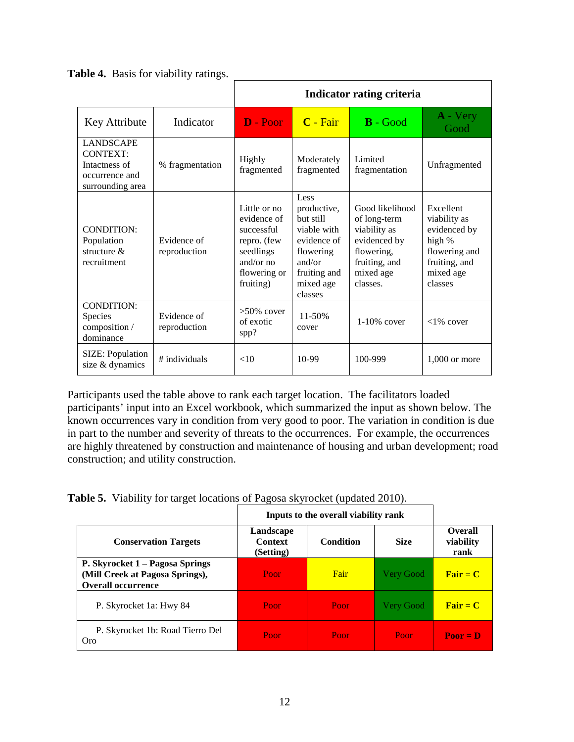|                                                                                            |                             | Indicator rating criteria                                                                                         |                                                                                                                               |                                                                                                                         |                                                                                                               |  |
|--------------------------------------------------------------------------------------------|-----------------------------|-------------------------------------------------------------------------------------------------------------------|-------------------------------------------------------------------------------------------------------------------------------|-------------------------------------------------------------------------------------------------------------------------|---------------------------------------------------------------------------------------------------------------|--|
| Key Attribute                                                                              | Indicator                   | D - Poor                                                                                                          | C - Fair                                                                                                                      | $B - Good$                                                                                                              | A - Very<br>Good                                                                                              |  |
| <b>LANDSCAPE</b><br><b>CONTEXT:</b><br>Intactness of<br>occurrence and<br>surrounding area | % fragmentation             | Highly<br>fragmented                                                                                              | Moderately<br>fragmented                                                                                                      | Limited<br>fragmentation                                                                                                | Unfragmented                                                                                                  |  |
| <b>CONDITION:</b><br>Population<br>structure $\&$<br>recruitment                           | Evidence of<br>reproduction | Little or no<br>evidence of<br>successful<br>repro. (few<br>seedlings<br>and/or $no$<br>flowering or<br>fruiting) | Less<br>productive,<br>but still<br>viable with<br>evidence of<br>flowering<br>and/or<br>fruiting and<br>mixed age<br>classes | Good likelihood<br>of long-term<br>viability as<br>evidenced by<br>flowering,<br>fruiting, and<br>mixed age<br>classes. | Excellent<br>viability as<br>evidenced by<br>high %<br>flowering and<br>fruiting, and<br>mixed age<br>classes |  |
| <b>CONDITION:</b><br><b>Species</b><br>composition /<br>dominance                          | Evidence of<br>reproduction | $>50\%$ cover<br>of exotic<br>spp?                                                                                | 11-50%<br>cover                                                                                                               | $1-10\%$ cover                                                                                                          | $<1\%$ cover                                                                                                  |  |
| SIZE: Population<br>size & dynamics                                                        | # individuals               | <10                                                                                                               | 10-99                                                                                                                         | 100-999                                                                                                                 | $1.000$ or more                                                                                               |  |

**Table 4.** Basis for viability ratings.

Participants used the table above to rank each target location. The facilitators loaded participants' input into an Excel workbook, which summarized the input as shown below. The known occurrences vary in condition from very good to poor. The variation in condition is due in part to the number and severity of threats to the occurrences. For example, the occurrences are highly threatened by construction and maintenance of housing and urban development; road construction; and utility construction.

**Table 5.** Viability for target locations of Pagosa skyrocket (updated 2010).

|                                                                                                 | Inputs to the overall viability rank     |                  |                  |                                     |
|-------------------------------------------------------------------------------------------------|------------------------------------------|------------------|------------------|-------------------------------------|
| <b>Conservation Targets</b>                                                                     | Landscape<br><b>Context</b><br>(Setting) | <b>Condition</b> | <b>Size</b>      | <b>Overall</b><br>viability<br>rank |
| P. Skyrocket 1 – Pagosa Springs<br>(Mill Creek at Pagosa Springs),<br><b>Overall occurrence</b> | Poor                                     | Fair             | <b>Very Good</b> | $\overline{\text{Fair}} = C$        |
| P. Skyrocket 1a: Hwy 84                                                                         | Poor                                     | Poor             | <b>Very Good</b> | ${\bf Fair} = {\bf C}$              |
| P. Skyrocket 1b: Road Tierro Del<br>Oro                                                         | Poor                                     | Poor             | Poor             | $Poor = D$                          |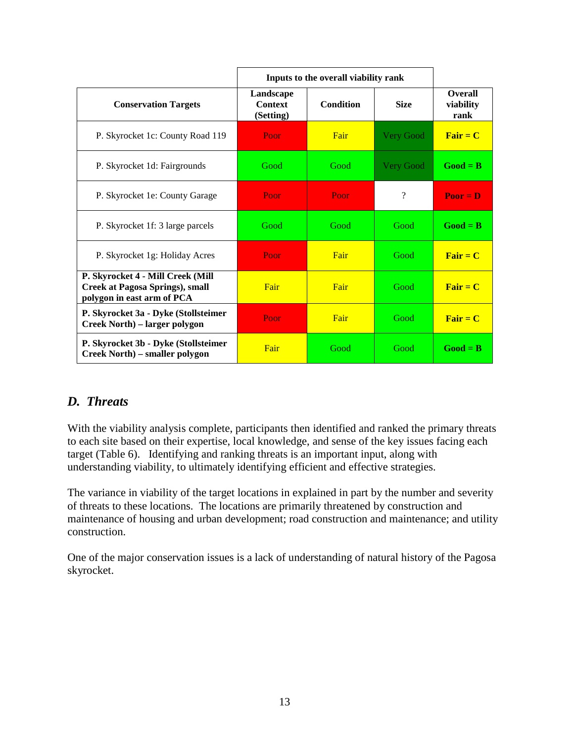|                                                                                                           |                                          | Inputs to the overall viability rank |                  |                                     |  |  |
|-----------------------------------------------------------------------------------------------------------|------------------------------------------|--------------------------------------|------------------|-------------------------------------|--|--|
| <b>Conservation Targets</b>                                                                               | Landscape<br><b>Context</b><br>(Setting) | <b>Condition</b>                     | <b>Size</b>      | <b>Overall</b><br>viability<br>rank |  |  |
| P. Skyrocket 1c: County Road 119                                                                          | Poor                                     | Fair                                 | Very Good        | $\overline{\text{Fair}} = C$        |  |  |
| P. Skyrocket 1d: Fairgrounds                                                                              | Good                                     | Good                                 | <b>Very Good</b> | $Good = B$                          |  |  |
| P. Skyrocket 1e: County Garage                                                                            | Poor                                     | Poor                                 | ?                | $Poor = D$                          |  |  |
| P. Skyrocket 1f: 3 large parcels                                                                          | Good                                     | Good                                 | Good             | $Good = B$                          |  |  |
| P. Skyrocket 1g: Holiday Acres                                                                            | Poor                                     | Fair                                 | Good             | $\overline{\text{Fair}} = C$        |  |  |
| P. Skyrocket 4 - Mill Creek (Mill<br><b>Creek at Pagosa Springs), small</b><br>polygon in east arm of PCA | Fair                                     | Fair                                 | Good             | $\overline{\text{Fair}} = C$        |  |  |
| P. Skyrocket 3a - Dyke (Stollsteimer<br>Creek North) – larger polygon                                     | Poor                                     | Fair                                 | Good             | ${\bf Fair} = {\bf C}$              |  |  |
| P. Skyrocket 3b - Dyke (Stollsteimer<br>Creek North) – smaller polygon                                    | Fair                                     | Good                                 | Good             | $Good = B$                          |  |  |

### <span id="page-12-0"></span>*D. Threats*

With the viability analysis complete, participants then identified and ranked the primary threats to each site based on their expertise, local knowledge, and sense of the key issues facing each target (Table 6). Identifying and ranking threats is an important input, along with understanding viability, to ultimately identifying efficient and effective strategies.

The variance in viability of the target locations in explained in part by the number and severity of threats to these locations. The locations are primarily threatened by construction and maintenance of housing and urban development; road construction and maintenance; and utility construction.

One of the major conservation issues is a lack of understanding of natural history of the Pagosa skyrocket.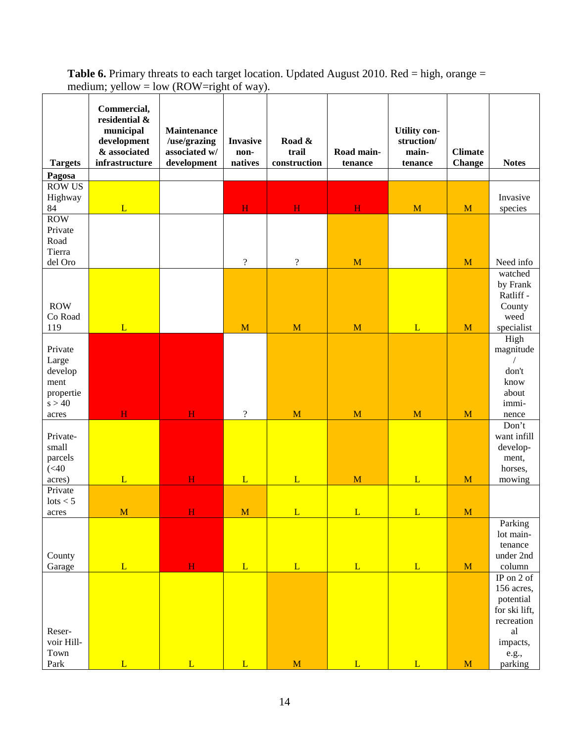| <b>Targets</b>                                             | Commercial,<br>residential &<br>municipal<br>development<br>& associated<br>infrastructure | <b>Maintenance</b><br>/use/grazing<br>associated w/<br>development | <b>Invasive</b><br>non-<br>natives | Road &<br>trail<br>construction | Road main-<br>tenance | <b>Utility con-</b><br>struction/<br>main-<br>tenance | <b>Climate</b><br><b>Change</b> | <b>Notes</b>                                                                                               |
|------------------------------------------------------------|--------------------------------------------------------------------------------------------|--------------------------------------------------------------------|------------------------------------|---------------------------------|-----------------------|-------------------------------------------------------|---------------------------------|------------------------------------------------------------------------------------------------------------|
| Pagosa                                                     |                                                                                            |                                                                    |                                    |                                 |                       |                                                       |                                 |                                                                                                            |
| <b>ROW US</b><br>Highway<br>84<br><b>ROW</b>               | L                                                                                          |                                                                    | H                                  | $\overline{\mathbf{H}}$         | H                     | M                                                     | M                               | Invasive<br>species                                                                                        |
| Private<br>Road<br>Tierra<br>del Oro                       |                                                                                            |                                                                    | $\overline{?}$                     | $\overline{?}$                  | M                     |                                                       | M                               | Need info                                                                                                  |
| <b>ROW</b><br>Co Road<br>119                               | L                                                                                          |                                                                    | M                                  | M                               | $\mathbf{M}$          | L                                                     | M                               | watched<br>by Frank<br>Ratliff-<br>County<br>weed<br>specialist                                            |
| Private<br>Large<br>develop<br>ment<br>propertie<br>s > 40 |                                                                                            |                                                                    |                                    |                                 |                       |                                                       |                                 | High<br>magnitude<br>don't<br>know<br>about<br>immi-                                                       |
| acres                                                      | H                                                                                          | $\mathbf H$                                                        | $\boldsymbol{\mathcal{C}}$         | M                               | M                     | M                                                     | M                               | nence                                                                                                      |
| Private-<br>small<br>parcels<br>(<10<br>acres)<br>Private  | L                                                                                          | $\mathbf{H}$                                                       | L                                  | L                               | M                     | L                                                     | M                               | Don't<br>want infill<br>develop-<br>ment,<br>horses,<br>mowing                                             |
| lots < 5                                                   |                                                                                            |                                                                    |                                    |                                 |                       |                                                       |                                 |                                                                                                            |
| acres                                                      | M                                                                                          | H                                                                  | $\mathbf M$                        | L                               | L                     | L                                                     | M                               |                                                                                                            |
| County                                                     | L                                                                                          | $\mathbf{H}$                                                       | L                                  | $\overline{L}$                  | L                     | $\overline{L}$                                        | $\mathbf{M}$                    | Parking<br>lot main-<br>tenance<br>under 2nd<br>column                                                     |
| Garage<br>Reser-<br>voir Hill-<br>Town<br>Park             | L                                                                                          | $\overline{L}$                                                     | $\overline{L}$                     | $\overline{\mathbf{M}}$         | L                     | L                                                     | M                               | IP on 2 of<br>156 acres,<br>potential<br>for ski lift,<br>recreation<br>al<br>impacts,<br>e.g.,<br>parking |

**Table 6.** Primary threats to each target location. Updated August 2010. Red = high, orange = medium; yellow = low (ROW=right of way).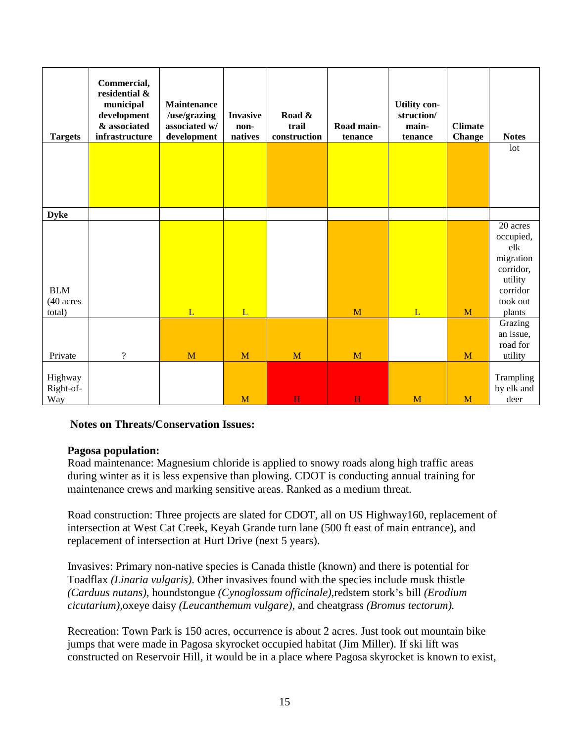| <b>Targets</b>                         | Commercial,<br>residential &<br>municipal<br>development<br>& associated<br>infrastructure | Maintenance<br>/use/grazing<br>associated w/<br>development | <b>Invasive</b><br>non-<br>natives | Road &<br>trail<br>construction | Road main-<br>tenance | <b>Utility con-</b><br>struction/<br>main-<br>tenance | <b>Climate</b><br><b>Change</b> | <b>Notes</b>                                                                                        |
|----------------------------------------|--------------------------------------------------------------------------------------------|-------------------------------------------------------------|------------------------------------|---------------------------------|-----------------------|-------------------------------------------------------|---------------------------------|-----------------------------------------------------------------------------------------------------|
|                                        |                                                                                            |                                                             |                                    |                                 |                       |                                                       |                                 | lot                                                                                                 |
| <b>Dyke</b>                            |                                                                                            |                                                             |                                    |                                 |                       |                                                       |                                 |                                                                                                     |
| <b>BLM</b><br>(40 acres<br>total)      |                                                                                            | L                                                           | L                                  |                                 | M                     | L                                                     | M                               | 20 acres<br>occupied,<br>elk<br>migration<br>corridor,<br>utility<br>corridor<br>took out<br>plants |
|                                        |                                                                                            |                                                             |                                    |                                 |                       |                                                       |                                 | Grazing<br>an issue,<br>road for                                                                    |
| Private<br>Highway<br>Right-of-<br>Way | $\overline{\mathcal{L}}$                                                                   | M                                                           | M<br>M                             | M<br>H                          | M<br>H                | M                                                     | M<br>M                          | utility<br>Trampling<br>by elk and<br>deer                                                          |

#### **Notes on Threats/Conservation Issues:**

#### **Pagosa population:**

Road maintenance: Magnesium chloride is applied to snowy roads along high traffic areas during winter as it is less expensive than plowing. CDOT is conducting annual training for maintenance crews and marking sensitive areas. Ranked as a medium threat.

Road construction: Three projects are slated for CDOT, all on US Highway160, replacement of intersection at West Cat Creek, Keyah Grande turn lane (500 ft east of main entrance), and replacement of intersection at Hurt Drive (next 5 years).

Invasives: Primary non-native species is Canada thistle (known) and there is potential for Toadflax *(Linaria vulgaris)*. Other invasives found with the species include musk thistle *(Carduus nutans),* houndstongue *(Cynoglossum officinale),*redstem stork's bill *(Erodium cicutarium),*oxeye daisy *(Leucanthemum vulgare),* and cheatgrass *(Bromus tectorum).*

Recreation: Town Park is 150 acres, occurrence is about 2 acres. Just took out mountain bike jumps that were made in Pagosa skyrocket occupied habitat (Jim Miller). If ski lift was constructed on Reservoir Hill, it would be in a place where Pagosa skyrocket is known to exist,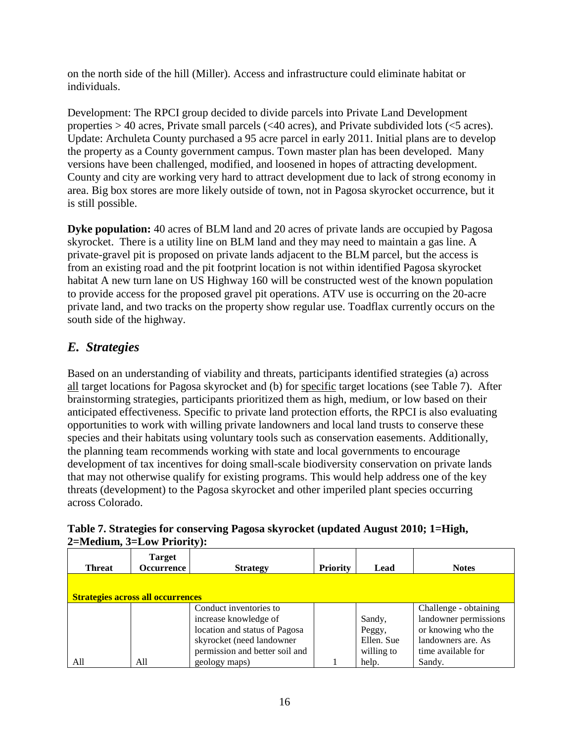on the north side of the hill (Miller). Access and infrastructure could eliminate habitat or individuals.

Development: The RPCI group decided to divide parcels into Private Land Development properties  $> 40$  acres, Private small parcels ( $< 40$  acres), and Private subdivided lots ( $< 5$  acres). Update: Archuleta County purchased a 95 acre parcel in early 2011. Initial plans are to develop the property as a County government campus. Town master plan has been developed. Many versions have been challenged, modified, and loosened in hopes of attracting development. County and city are working very hard to attract development due to lack of strong economy in area. Big box stores are more likely outside of town, not in Pagosa skyrocket occurrence, but it is still possible.

**Dyke population:** 40 acres of BLM land and 20 acres of private lands are occupied by Pagosa skyrocket. There is a utility line on BLM land and they may need to maintain a gas line. A private-gravel pit is proposed on private lands adjacent to the BLM parcel, but the access is from an existing road and the pit footprint location is not within identified Pagosa skyrocket habitat A new turn lane on US Highway 160 will be constructed west of the known population to provide access for the proposed gravel pit operations. ATV use is occurring on the 20-acre private land, and two tracks on the property show regular use. Toadflax currently occurs on the south side of the highway.

### <span id="page-15-0"></span>*E. Strategies*

Based on an understanding of viability and threats, participants identified strategies (a) across all target locations for Pagosa skyrocket and (b) for specific target locations (see Table 7). After brainstorming strategies, participants prioritized them as high, medium, or low based on their anticipated effectiveness. Specific to private land protection efforts, the RPCI is also evaluating opportunities to work with willing private landowners and local land trusts to conserve these species and their habitats using voluntary tools such as conservation easements. Additionally, the planning team recommends working with state and local governments to encourage development of tax incentives for doing small-scale biodiversity conservation on private lands that may not otherwise qualify for existing programs. This would help address one of the key threats (development) to the Pagosa skyrocket and other imperiled plant species occurring across Colorado.

| $2$ -wicaram, $v$ -down internety. |                                          |                                |                 |            |                       |  |  |
|------------------------------------|------------------------------------------|--------------------------------|-----------------|------------|-----------------------|--|--|
| <b>Threat</b>                      | Target<br><b>Occurrence</b>              | <b>Strategy</b>                | <b>Priority</b> | Lead       | <b>Notes</b>          |  |  |
|                                    |                                          |                                |                 |            |                       |  |  |
|                                    | <b>Strategies across all occurrences</b> |                                |                 |            |                       |  |  |
|                                    |                                          | Conduct inventories to         |                 |            | Challenge - obtaining |  |  |
|                                    |                                          | increase knowledge of          |                 | Sandy,     | landowner permissions |  |  |
|                                    |                                          | location and status of Pagosa  |                 | Peggy,     | or knowing who the    |  |  |
|                                    |                                          | skyrocket (need landowner      |                 | Ellen. Sue | landowners are. As    |  |  |
|                                    |                                          | permission and better soil and |                 | willing to | time available for    |  |  |
| All                                | All                                      | geology maps)                  |                 | help.      | Sandy.                |  |  |

#### **Table 7. Strategies for conserving Pagosa skyrocket (updated August 2010; 1=High, 2=Medium, 3=Low Priority):**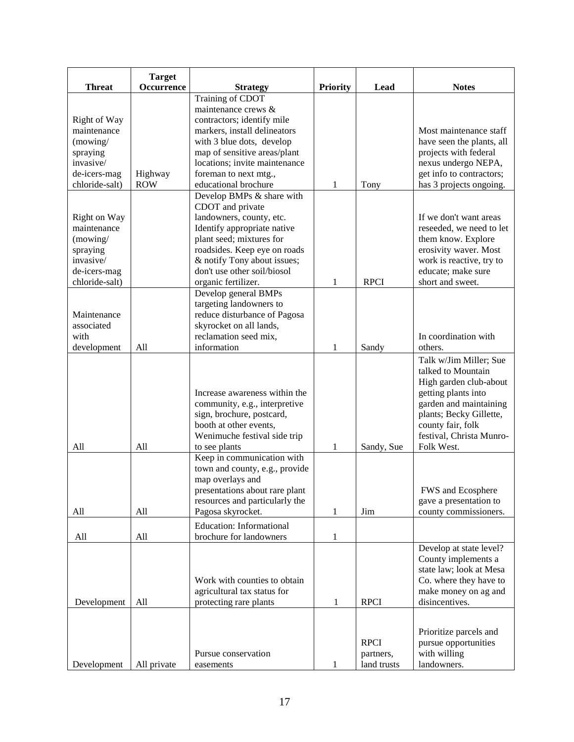|                | <b>Target</b> |                                 |                 |             |                           |
|----------------|---------------|---------------------------------|-----------------|-------------|---------------------------|
| <b>Threat</b>  | Occurrence    | <b>Strategy</b>                 | <b>Priority</b> | Lead        | <b>Notes</b>              |
|                |               | Training of CDOT                |                 |             |                           |
|                |               | maintenance crews &             |                 |             |                           |
| Right of Way   |               | contractors; identify mile      |                 |             |                           |
| maintenance    |               | markers, install delineators    |                 |             | Most maintenance staff    |
| (mowing/       |               | with 3 blue dots, develop       |                 |             | have seen the plants, all |
| spraying       |               | map of sensitive areas/plant    |                 |             | projects with federal     |
| invasive/      |               | locations; invite maintenance   |                 |             | nexus undergo NEPA,       |
| de-icers-mag   | Highway       | foreman to next mtg.,           |                 |             | get info to contractors;  |
| chloride-salt) | <b>ROW</b>    | educational brochure            | $\mathbf{1}$    | Tony        | has 3 projects ongoing.   |
|                |               | Develop BMPs & share with       |                 |             |                           |
|                |               | CDOT and private                |                 |             |                           |
| Right on Way   |               | landowners, county, etc.        |                 |             | If we don't want areas    |
| maintenance    |               | Identify appropriate native     |                 |             | reseeded, we need to let  |
|                |               |                                 |                 |             |                           |
| (mowing/       |               | plant seed; mixtures for        |                 |             | them know. Explore        |
| spraying       |               | roadsides. Keep eye on roads    |                 |             | erosivity waver. Most     |
| invasive/      |               | & notify Tony about issues;     |                 |             | work is reactive, try to  |
| de-icers-mag   |               | don't use other soil/biosol     |                 |             | educate; make sure        |
| chloride-salt) |               | organic fertilizer.             | 1               | <b>RPCI</b> | short and sweet.          |
|                |               | Develop general BMPs            |                 |             |                           |
|                |               | targeting landowners to         |                 |             |                           |
| Maintenance    |               | reduce disturbance of Pagosa    |                 |             |                           |
| associated     |               | skyrocket on all lands,         |                 |             |                           |
| with           |               | reclamation seed mix,           |                 |             | In coordination with      |
| development    | All           | information                     | 1               | Sandy       | others.                   |
|                |               |                                 |                 |             |                           |
|                |               |                                 |                 |             | Talk w/Jim Miller; Sue    |
|                |               |                                 |                 |             | talked to Mountain        |
|                |               |                                 |                 |             | High garden club-about    |
|                |               | Increase awareness within the   |                 |             | getting plants into       |
|                |               | community, e.g., interpretive   |                 |             | garden and maintaining    |
|                |               | sign, brochure, postcard,       |                 |             | plants; Becky Gillette,   |
|                |               | booth at other events,          |                 |             | county fair, folk         |
|                |               | Wenimuche festival side trip    |                 |             | festival, Christa Munro-  |
| All            | All           | to see plants                   | 1               | Sandy, Sue  | Folk West.                |
|                |               | Keep in communication with      |                 |             |                           |
|                |               | town and county, e.g., provide  |                 |             |                           |
|                |               | map overlays and                |                 |             |                           |
|                |               | presentations about rare plant  |                 |             | FWS and Ecosphere         |
|                |               | resources and particularly the  |                 |             | gave a presentation to    |
| All            | All           | Pagosa skyrocket.               | 1               | Jim         | county commissioners.     |
|                |               |                                 |                 |             |                           |
|                |               | <b>Education:</b> Informational |                 |             |                           |
| All            | All           | brochure for landowners         | 1               |             |                           |
|                |               |                                 |                 |             | Develop at state level?   |
|                |               |                                 |                 |             | County implements a       |
|                |               |                                 |                 |             | state law; look at Mesa   |
|                |               | Work with counties to obtain    |                 |             | Co. where they have to    |
|                |               | agricultural tax status for     |                 |             | make money on ag and      |
| Development    | All           | protecting rare plants          | 1               | <b>RPCI</b> | disincentives.            |
|                |               |                                 |                 |             |                           |
|                |               |                                 |                 |             |                           |
|                |               |                                 |                 |             | Prioritize parcels and    |
|                |               |                                 |                 | <b>RPCI</b> | pursue opportunities      |
|                |               | Pursue conservation             |                 | partners,   | with willing              |
| Development    | All private   | easements                       | 1               | land trusts | landowners.               |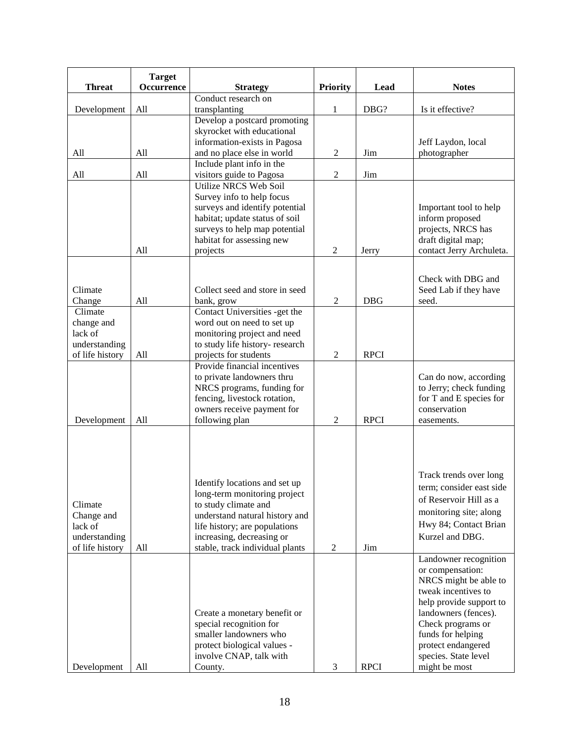|                 | <b>Target</b> |                                        |                 |             |                          |
|-----------------|---------------|----------------------------------------|-----------------|-------------|--------------------------|
| <b>Threat</b>   | Occurrence    | <b>Strategy</b><br>Conduct research on | <b>Priority</b> | Lead        | <b>Notes</b>             |
| Development     | All           | transplanting                          | 1               | DBG?        | Is it effective?         |
|                 |               | Develop a postcard promoting           |                 |             |                          |
|                 |               | skyrocket with educational             |                 |             |                          |
|                 |               | information-exists in Pagosa           |                 |             | Jeff Laydon, local       |
| All             | All           | and no place else in world             | $\overline{c}$  | Jim         | photographer             |
|                 |               | Include plant info in the              |                 |             |                          |
| All             | All           | visitors guide to Pagosa               | $\mathfrak{2}$  | Jim         |                          |
|                 |               | <b>Utilize NRCS Web Soil</b>           |                 |             |                          |
|                 |               | Survey info to help focus              |                 |             |                          |
|                 |               | surveys and identify potential         |                 |             | Important tool to help   |
|                 |               | habitat; update status of soil         |                 |             | inform proposed          |
|                 |               | surveys to help map potential          |                 |             | projects, NRCS has       |
|                 |               | habitat for assessing new              |                 |             | draft digital map;       |
|                 | All           | projects                               | 2               | Jerry       | contact Jerry Archuleta. |
|                 |               |                                        |                 |             |                          |
|                 |               |                                        |                 |             | Check with DBG and       |
| Climate         |               | Collect seed and store in seed         |                 |             | Seed Lab if they have    |
| Change          | All           | bank, grow                             | $\overline{2}$  | <b>DBG</b>  | seed.                    |
| Climate         |               | Contact Universities -get the          |                 |             |                          |
| change and      |               | word out on need to set up             |                 |             |                          |
| lack of         |               | monitoring project and need            |                 |             |                          |
| understanding   |               | to study life history- research        |                 |             |                          |
| of life history | All           | projects for students                  | $\overline{2}$  | <b>RPCI</b> |                          |
|                 |               | Provide financial incentives           |                 |             |                          |
|                 |               | to private landowners thru             |                 |             | Can do now, according    |
|                 |               | NRCS programs, funding for             |                 |             | to Jerry; check funding  |
|                 |               | fencing, livestock rotation,           |                 |             | for T and E species for  |
|                 |               | owners receive payment for             |                 |             | conservation             |
| Development     | All           | following plan                         | $\overline{2}$  | <b>RPCI</b> | easements.               |
|                 |               |                                        |                 |             |                          |
|                 |               |                                        |                 |             |                          |
|                 |               |                                        |                 |             |                          |
|                 |               |                                        |                 |             |                          |
|                 |               | Identify locations and set up          |                 |             | Track trends over long   |
|                 |               | long-term monitoring project           |                 |             | term; consider east side |
| Climate         |               | to study climate and                   |                 |             | of Reservoir Hill as a   |
| Change and      |               | understand natural history and         |                 |             | monitoring site; along   |
| lack of         |               | life history; are populations          |                 |             | Hwy 84; Contact Brian    |
| understanding   |               | increasing, decreasing or              |                 |             | Kurzel and DBG.          |
| of life history | All           | stable, track individual plants        | $\overline{c}$  | Jim         |                          |
|                 |               |                                        |                 |             | Landowner recognition    |
|                 |               |                                        |                 |             | or compensation:         |
|                 |               |                                        |                 |             | NRCS might be able to    |
|                 |               |                                        |                 |             | tweak incentives to      |
|                 |               |                                        |                 |             | help provide support to  |
|                 |               | Create a monetary benefit or           |                 |             | landowners (fences).     |
|                 |               | special recognition for                |                 |             | Check programs or        |
|                 |               | smaller landowners who                 |                 |             | funds for helping        |
|                 |               | protect biological values -            |                 |             | protect endangered       |
|                 |               | involve CNAP, talk with                |                 |             | species. State level     |
| Development     | All           | County.                                | 3               | <b>RPCI</b> | might be most            |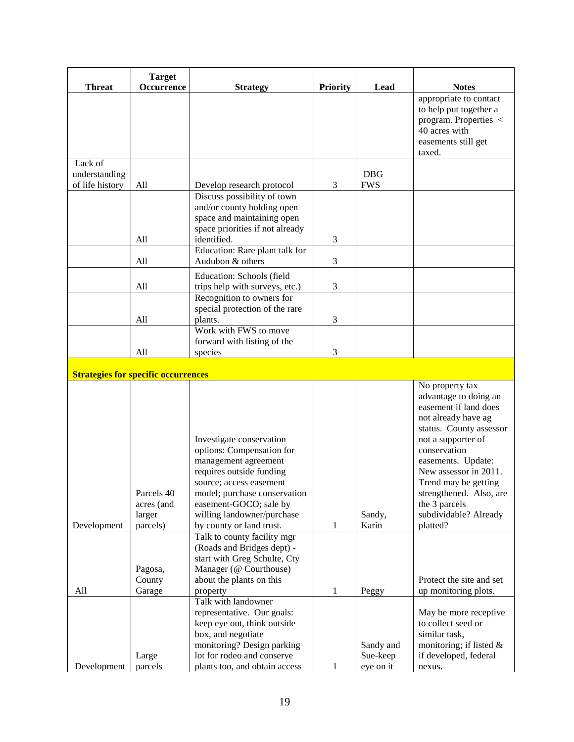|                                            | <b>Target</b>                                  |                                                                                                                                                                                                                                                                                         |                 |                       |                                                                                                                                                                                                                                                                                                                   |
|--------------------------------------------|------------------------------------------------|-----------------------------------------------------------------------------------------------------------------------------------------------------------------------------------------------------------------------------------------------------------------------------------------|-----------------|-----------------------|-------------------------------------------------------------------------------------------------------------------------------------------------------------------------------------------------------------------------------------------------------------------------------------------------------------------|
| <b>Threat</b>                              | Occurrence                                     | <b>Strategy</b>                                                                                                                                                                                                                                                                         | <b>Priority</b> | Lead                  | <b>Notes</b>                                                                                                                                                                                                                                                                                                      |
|                                            |                                                |                                                                                                                                                                                                                                                                                         |                 |                       | appropriate to contact<br>to help put together a<br>program. Properties <<br>40 acres with<br>easements still get<br>taxed.                                                                                                                                                                                       |
| Lack of                                    |                                                |                                                                                                                                                                                                                                                                                         |                 |                       |                                                                                                                                                                                                                                                                                                                   |
| understanding                              |                                                |                                                                                                                                                                                                                                                                                         |                 | <b>DBG</b>            |                                                                                                                                                                                                                                                                                                                   |
| of life history                            | All                                            | Develop research protocol                                                                                                                                                                                                                                                               | 3               | <b>FWS</b>            |                                                                                                                                                                                                                                                                                                                   |
|                                            | All                                            | Discuss possibility of town<br>and/or county holding open<br>space and maintaining open<br>space priorities if not already<br>identified.                                                                                                                                               | 3               |                       |                                                                                                                                                                                                                                                                                                                   |
|                                            |                                                | Education: Rare plant talk for                                                                                                                                                                                                                                                          |                 |                       |                                                                                                                                                                                                                                                                                                                   |
|                                            | All                                            | Audubon & others                                                                                                                                                                                                                                                                        | 3               |                       |                                                                                                                                                                                                                                                                                                                   |
|                                            |                                                | Education: Schools (field                                                                                                                                                                                                                                                               |                 |                       |                                                                                                                                                                                                                                                                                                                   |
|                                            | All                                            | trips help with surveys, etc.)                                                                                                                                                                                                                                                          | 3               |                       |                                                                                                                                                                                                                                                                                                                   |
|                                            |                                                | Recognition to owners for                                                                                                                                                                                                                                                               |                 |                       |                                                                                                                                                                                                                                                                                                                   |
|                                            | All                                            | special protection of the rare<br>plants.                                                                                                                                                                                                                                               | 3               |                       |                                                                                                                                                                                                                                                                                                                   |
|                                            |                                                | Work with FWS to move                                                                                                                                                                                                                                                                   |                 |                       |                                                                                                                                                                                                                                                                                                                   |
|                                            |                                                | forward with listing of the                                                                                                                                                                                                                                                             |                 |                       |                                                                                                                                                                                                                                                                                                                   |
|                                            | All                                            | species                                                                                                                                                                                                                                                                                 | 3               |                       |                                                                                                                                                                                                                                                                                                                   |
|                                            |                                                |                                                                                                                                                                                                                                                                                         |                 |                       |                                                                                                                                                                                                                                                                                                                   |
| <b>Strategies for specific occurrences</b> |                                                |                                                                                                                                                                                                                                                                                         |                 |                       |                                                                                                                                                                                                                                                                                                                   |
| Development                                | Parcels 40<br>acres (and<br>larger<br>parcels) | Investigate conservation<br>options: Compensation for<br>management agreement<br>requires outside funding<br>source; access easement<br>model; purchase conservation<br>easement-GOCO; sale by<br>willing landowner/purchase<br>by county or land trust.<br>Talk to county facility mgr | 1               | Sandy,<br>Karin       | No property tax<br>advantage to doing an<br>easement if land does<br>not already have ag<br>status. County assessor<br>not a supporter of<br>conservation<br>easements. Update:<br>New assessor in 2011.<br>Trend may be getting<br>strengthened. Also, are<br>the 3 parcels<br>subdividable? Already<br>platted? |
|                                            |                                                | (Roads and Bridges dept) -                                                                                                                                                                                                                                                              |                 |                       |                                                                                                                                                                                                                                                                                                                   |
|                                            |                                                | start with Greg Schulte, Cty                                                                                                                                                                                                                                                            |                 |                       |                                                                                                                                                                                                                                                                                                                   |
|                                            | Pagosa,                                        | Manager (@ Courthouse)                                                                                                                                                                                                                                                                  |                 |                       |                                                                                                                                                                                                                                                                                                                   |
|                                            | County                                         | about the plants on this                                                                                                                                                                                                                                                                |                 |                       | Protect the site and set                                                                                                                                                                                                                                                                                          |
| All                                        | Garage                                         | property                                                                                                                                                                                                                                                                                | 1               | Peggy                 | up monitoring plots.                                                                                                                                                                                                                                                                                              |
|                                            | Large                                          | Talk with landowner<br>representative. Our goals:<br>keep eye out, think outside<br>box, and negotiate<br>monitoring? Design parking<br>lot for rodeo and conserve                                                                                                                      |                 | Sandy and<br>Sue-keep | May be more receptive<br>to collect seed or<br>similar task,<br>monitoring; if listed $&$<br>if developed, federal                                                                                                                                                                                                |
| Development                                | parcels                                        | plants too, and obtain access                                                                                                                                                                                                                                                           | 1               | eye on it             | nexus.                                                                                                                                                                                                                                                                                                            |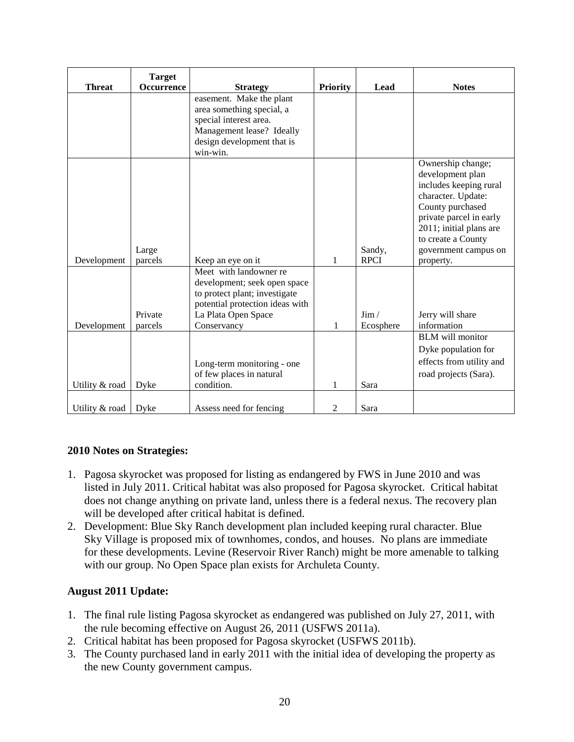|                | <b>Target</b> |                                 |                 |             |                                             |
|----------------|---------------|---------------------------------|-----------------|-------------|---------------------------------------------|
| <b>Threat</b>  | Occurrence    | <b>Strategy</b>                 | <b>Priority</b> | Lead        | <b>Notes</b>                                |
|                |               | easement. Make the plant        |                 |             |                                             |
|                |               | area something special, a       |                 |             |                                             |
|                |               | special interest area.          |                 |             |                                             |
|                |               | Management lease? Ideally       |                 |             |                                             |
|                |               | design development that is      |                 |             |                                             |
|                |               | win-win.                        |                 |             |                                             |
|                |               |                                 |                 |             | Ownership change;                           |
|                |               |                                 |                 |             | development plan                            |
|                |               |                                 |                 |             | includes keeping rural                      |
|                |               |                                 |                 |             | character. Update:                          |
|                |               |                                 |                 |             | County purchased<br>private parcel in early |
|                |               |                                 |                 |             | 2011; initial plans are                     |
|                |               |                                 |                 |             | to create a County                          |
|                | Large         |                                 |                 | Sandy,      | government campus on                        |
| Development    | parcels       | Keep an eye on it               | 1               | <b>RPCI</b> | property.                                   |
|                |               | Meet with landowner re          |                 |             |                                             |
|                |               | development; seek open space    |                 |             |                                             |
|                |               | to protect plant; investigate   |                 |             |                                             |
|                |               | potential protection ideas with |                 |             |                                             |
|                | Private       | La Plata Open Space             |                 | $\lim$ /    | Jerry will share                            |
| Development    | parcels       | Conservancy                     | 1               | Ecosphere   | information                                 |
|                |               |                                 |                 |             | <b>BLM</b> will monitor                     |
|                |               |                                 |                 |             | Dyke population for                         |
|                |               | Long-term monitoring - one      |                 |             | effects from utility and                    |
|                |               | of few places in natural        |                 |             | road projects (Sara).                       |
| Utility & road | Dyke          | condition.                      | 1               | Sara        |                                             |
|                |               |                                 |                 |             |                                             |
| Utility & road | Dyke          | Assess need for fencing         | 2               | Sara        |                                             |

#### **2010 Notes on Strategies:**

- 1. Pagosa skyrocket was proposed for listing as endangered by FWS in June 2010 and was listed in July 2011. Critical habitat was also proposed for Pagosa skyrocket. Critical habitat does not change anything on private land, unless there is a federal nexus. The recovery plan will be developed after critical habitat is defined.
- 2. Development: Blue Sky Ranch development plan included keeping rural character. Blue Sky Village is proposed mix of townhomes, condos, and houses. No plans are immediate for these developments. Levine (Reservoir River Ranch) might be more amenable to talking with our group. No Open Space plan exists for Archuleta County.

#### **August 2011 Update:**

- 1. The final rule listing Pagosa skyrocket as endangered was published on July 27, 2011, with the rule becoming effective on August 26, 2011 (USFWS 2011a).
- 2. Critical habitat has been proposed for Pagosa skyrocket (USFWS 2011b).
- 3. The County purchased land in early 2011 with the initial idea of developing the property as the new County government campus.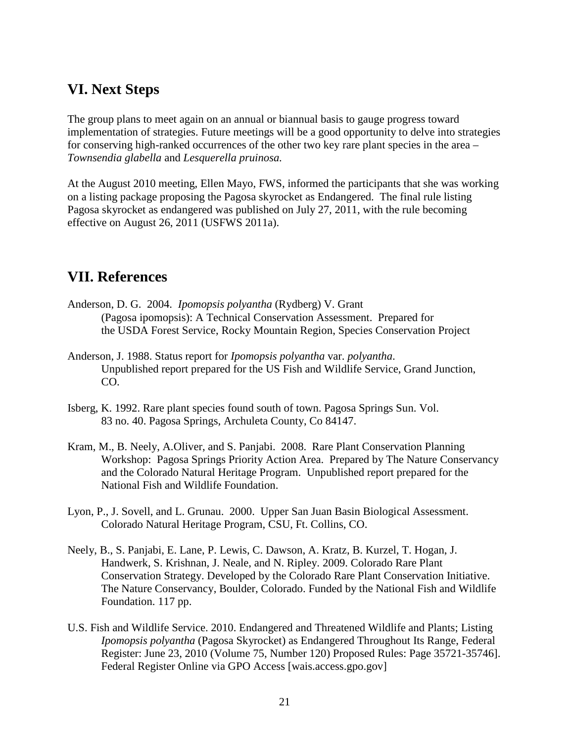### <span id="page-20-0"></span>**VI. Next Steps**

The group plans to meet again on an annual or biannual basis to gauge progress toward implementation of strategies. Future meetings will be a good opportunity to delve into strategies for conserving high-ranked occurrences of the other two key rare plant species in the area – *Townsendia glabella* and *Lesquerella pruinosa.*

At the August 2010 meeting, Ellen Mayo, FWS, informed the participants that she was working on a listing package proposing the Pagosa skyrocket as Endangered. The final rule listing Pagosa skyrocket as endangered was published on July 27, 2011, with the rule becoming effective on August 26, 2011 (USFWS 2011a).

# **VII. References**

- Anderson, D. G. 2004. *Ipomopsis polyantha* (Rydberg) V. Grant (Pagosa ipomopsis): A Technical Conservation Assessment. Prepared for the USDA Forest Service, Rocky Mountain Region, Species Conservation Project
- Anderson, J. 1988. Status report for *Ipomopsis polyantha* var. *polyantha*. Unpublished report prepared for the US Fish and Wildlife Service, Grand Junction, CO.
- Isberg, K. 1992. Rare plant species found south of town. Pagosa Springs Sun. Vol. 83 no. 40. Pagosa Springs, Archuleta County, Co 84147.
- Kram, M., B. Neely, A.Oliver, and S. Panjabi. 2008. Rare Plant Conservation Planning Workshop: Pagosa Springs Priority Action Area. Prepared by The Nature Conservancy and the Colorado Natural Heritage Program. Unpublished report prepared for the National Fish and Wildlife Foundation.
- Lyon, P., J. Sovell, and L. Grunau. 2000. Upper San Juan Basin Biological Assessment. Colorado Natural Heritage Program, CSU, Ft. Collins, CO.
- Neely, B., S. Panjabi, E. Lane, P. Lewis, C. Dawson, A. Kratz, B. Kurzel, T. Hogan, J. Handwerk, S. Krishnan, J. Neale, and N. Ripley. 2009. Colorado Rare Plant Conservation Strategy. Developed by the Colorado Rare Plant Conservation Initiative. The Nature Conservancy, Boulder, Colorado. Funded by the National Fish and Wildlife Foundation. 117 pp.
- U.S. Fish and Wildlife Service. 2010. Endangered and Threatened Wildlife and Plants; Listing *Ipomopsis polyantha* (Pagosa Skyrocket) as Endangered Throughout Its Range, Federal Register: June 23, 2010 (Volume 75, Number 120) Proposed Rules: Page 35721-35746]. Federal Register Online via GPO Access [wais.access.gpo.gov]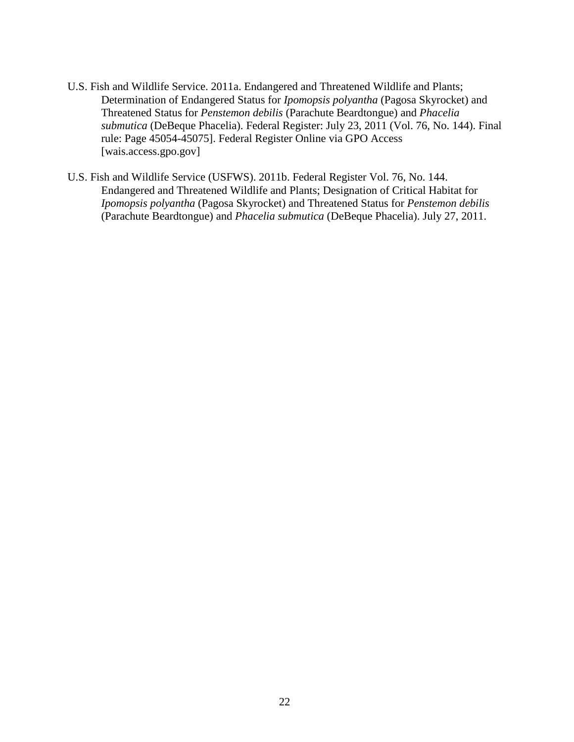- U.S. Fish and Wildlife Service. 2011a. Endangered and Threatened Wildlife and Plants; Determination of Endangered Status for *Ipomopsis polyantha* (Pagosa Skyrocket) and Threatened Status for *Penstemon debilis* (Parachute Beardtongue) and *Phacelia submutica* (DeBeque Phacelia). Federal Register: July 23, 2011 (Vol. 76, No. 144). Final rule: Page 45054-45075]. Federal Register Online via GPO Access [wais.access.gpo.gov]
- U.S. Fish and Wildlife Service (USFWS). 2011b. Federal Register Vol. 76, No. 144. Endangered and Threatened Wildlife and Plants; Designation of Critical Habitat for *Ipomopsis polyantha* (Pagosa Skyrocket) and Threatened Status for *Penstemon debilis* (Parachute Beardtongue) and *Phacelia submutica* (DeBeque Phacelia). July 27, 2011.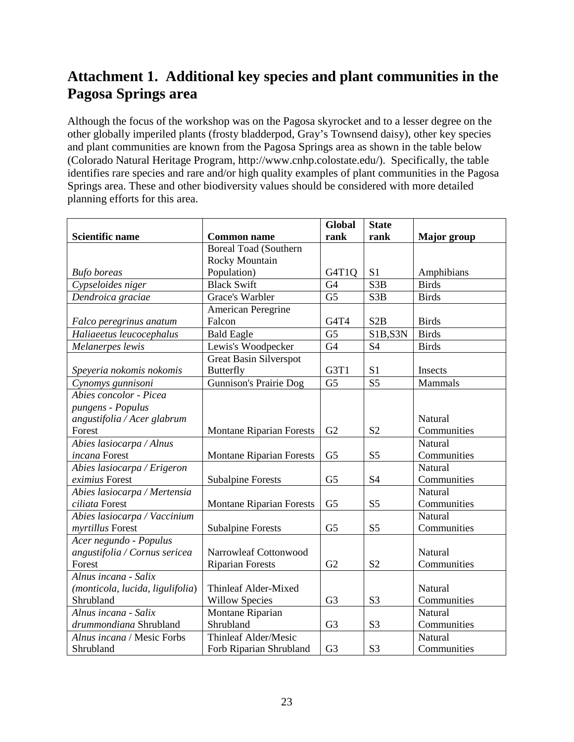# <span id="page-22-0"></span>**Attachment 1. Additional key species and plant communities in the Pagosa Springs area**

Although the focus of the workshop was on the Pagosa skyrocket and to a lesser degree on the other globally imperiled plants (frosty bladderpod, Gray's Townsend daisy), other key species and plant communities are known from the Pagosa Springs area as shown in the table below (Colorado Natural Heritage Program, http://www.cnhp.colostate.edu/). Specifically, the table identifies rare species and rare and/or high quality examples of plant communities in the Pagosa Springs area. These and other biodiversity values should be considered with more detailed planning efforts for this area.

|                                  |                                 | Global          | <b>State</b>     |                    |
|----------------------------------|---------------------------------|-----------------|------------------|--------------------|
| <b>Scientific name</b>           | <b>Common name</b>              | rank            | rank             | <b>Major</b> group |
|                                  | <b>Boreal Toad (Southern</b>    |                 |                  |                    |
|                                  | <b>Rocky Mountain</b>           |                 |                  |                    |
| <b>Bufo</b> boreas               | Population)                     | G4T1Q           | S <sub>1</sub>   | Amphibians         |
| Cypseloides niger                | <b>Black Swift</b>              | G <sub>4</sub>  | S <sub>3</sub> B | <b>Birds</b>       |
| Dendroica graciae                | Grace's Warbler                 | G <sub>5</sub>  | S <sub>3</sub> B | <b>Birds</b>       |
|                                  | American Peregrine              |                 |                  |                    |
| Falco peregrinus anatum          | Falcon                          | G4T4            | S2B              | <b>Birds</b>       |
| Haliaeetus leucocephalus         | <b>Bald Eagle</b>               | $\overline{G5}$ | S1B, S3N         | <b>Birds</b>       |
| Melanerpes lewis                 | Lewis's Woodpecker              | G <sub>4</sub>  | S4               | <b>Birds</b>       |
|                                  | <b>Great Basin Silverspot</b>   |                 |                  |                    |
| Speyeria nokomis nokomis         | <b>Butterfly</b>                | G3T1            | S <sub>1</sub>   | Insects            |
| Cynomys gunnisoni                | <b>Gunnison's Prairie Dog</b>   | G <sub>5</sub>  | S <sub>5</sub>   | Mammals            |
| Abies concolor - Picea           |                                 |                 |                  |                    |
| pungens - Populus                |                                 |                 |                  |                    |
| angustifolia / Acer glabrum      |                                 |                 |                  | Natural            |
| Forest                           | <b>Montane Riparian Forests</b> | G2              | S <sub>2</sub>   | Communities        |
| Abies lasiocarpa / Alnus         |                                 |                 |                  | Natural            |
| incana Forest                    | <b>Montane Riparian Forests</b> | G <sub>5</sub>  | S <sub>5</sub>   | Communities        |
| Abies lasiocarpa / Erigeron      |                                 |                 |                  | Natural            |
| eximius Forest                   | <b>Subalpine Forests</b>        | G <sub>5</sub>  | <b>S4</b>        | Communities        |
| Abies lasiocarpa / Mertensia     |                                 |                 |                  | Natural            |
| ciliata Forest                   | <b>Montane Riparian Forests</b> | G <sub>5</sub>  | S <sub>5</sub>   | Communities        |
| Abies lasiocarpa / Vaccinium     |                                 |                 |                  | Natural            |
| myrtillus Forest                 | <b>Subalpine Forests</b>        | G <sub>5</sub>  | S <sub>5</sub>   | Communities        |
| Acer negundo - Populus           |                                 |                 |                  |                    |
| angustifolia / Cornus sericea    | Narrowleaf Cottonwood           |                 |                  | Natural            |
| Forest                           | <b>Riparian Forests</b>         | G2              | S <sub>2</sub>   | Communities        |
| Alnus incana - Salix             |                                 |                 |                  |                    |
| (monticola, lucida, ligulifolia) | Thinleaf Alder-Mixed            |                 |                  | Natural            |
| Shrubland                        | <b>Willow Species</b>           | G <sub>3</sub>  | S <sub>3</sub>   | Communities        |
| Alnus incana - Salix             | Montane Riparian                |                 |                  | Natural            |
| drummondiana Shrubland           | Shrubland                       | G <sub>3</sub>  | S <sub>3</sub>   | Communities        |
| Alnus incana / Mesic Forbs       | <b>Thinleaf Alder/Mesic</b>     |                 |                  | Natural            |
| Shrubland                        | Forb Riparian Shrubland         | G <sub>3</sub>  | S <sub>3</sub>   | Communities        |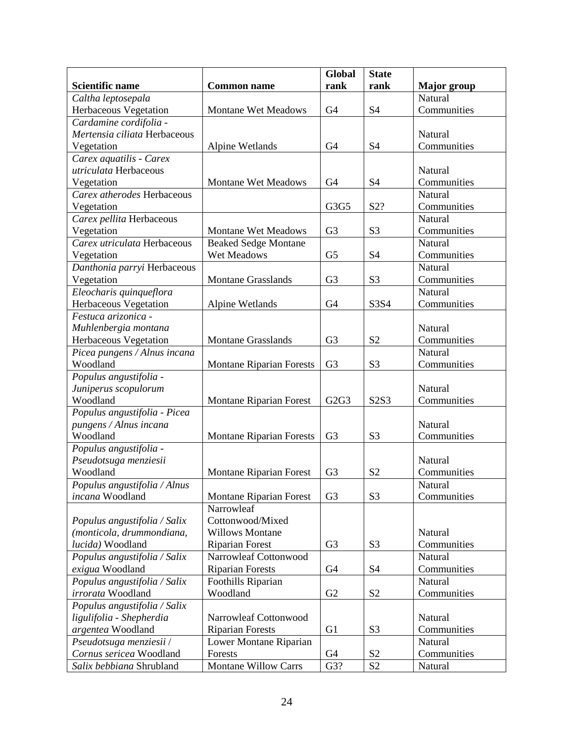|                              |                                 | <b>Global</b>  | <b>State</b>   |                    |
|------------------------------|---------------------------------|----------------|----------------|--------------------|
| <b>Scientific name</b>       | <b>Common name</b>              | rank           | rank           | <b>Major</b> group |
| Caltha leptosepala           |                                 |                |                | Natural            |
| Herbaceous Vegetation        | Montane Wet Meadows             | G <sub>4</sub> | S <sub>4</sub> | Communities        |
| Cardamine cordifolia -       |                                 |                |                |                    |
| Mertensia ciliata Herbaceous |                                 |                |                | Natural            |
| Vegetation                   | Alpine Wetlands                 | G <sub>4</sub> | <b>S4</b>      | Communities        |
| Carex aquatilis - Carex      |                                 |                |                |                    |
| utriculata Herbaceous        |                                 |                |                | Natural            |
| Vegetation                   | <b>Montane Wet Meadows</b>      | G <sub>4</sub> | S <sub>4</sub> | Communities        |
| Carex atherodes Herbaceous   |                                 |                |                | Natural            |
| Vegetation                   |                                 | G3G5           | S2?            | Communities        |
| Carex pellita Herbaceous     |                                 |                |                | <b>Natural</b>     |
| Vegetation                   | <b>Montane Wet Meadows</b>      | G <sub>3</sub> | S <sub>3</sub> | Communities        |
| Carex utriculata Herbaceous  | <b>Beaked Sedge Montane</b>     |                |                | <b>Natural</b>     |
| Vegetation                   | Wet Meadows                     | G <sub>5</sub> | S <sub>4</sub> | Communities        |
| Danthonia parryi Herbaceous  |                                 |                |                | Natural            |
| Vegetation                   | <b>Montane Grasslands</b>       | G <sub>3</sub> | S <sub>3</sub> | Communities        |
| Eleocharis quinqueflora      |                                 |                |                | Natural            |
| Herbaceous Vegetation        | Alpine Wetlands                 | G <sub>4</sub> | S3S4           | Communities        |
| Festuca arizonica -          |                                 |                |                |                    |
| Muhlenbergia montana         |                                 |                |                | Natural            |
| Herbaceous Vegetation        | <b>Montane Grasslands</b>       | G <sub>3</sub> | S <sub>2</sub> | Communities        |
| Picea pungens / Alnus incana |                                 |                |                | Natural            |
| Woodland                     | <b>Montane Riparian Forests</b> | G <sub>3</sub> | S <sub>3</sub> | Communities        |
| Populus angustifolia -       |                                 |                |                |                    |
| Juniperus scopulorum         |                                 |                |                | Natural            |
| Woodland                     | <b>Montane Riparian Forest</b>  | G2G3           | S2S3           | Communities        |
| Populus angustifolia - Picea |                                 |                |                |                    |
| pungens / Alnus incana       |                                 |                |                | Natural            |
| Woodland                     | <b>Montane Riparian Forests</b> | G <sub>3</sub> | S <sub>3</sub> | Communities        |
| Populus angustifolia -       |                                 |                |                |                    |
| Pseudotsuga menziesii        |                                 |                |                | Natural            |
| Woodland                     | <b>Montane Riparian Forest</b>  | G <sub>3</sub> | S <sub>2</sub> | Communities        |
| Populus angustifolia / Alnus |                                 |                |                | Natural            |
| incana Woodland              | <b>Montane Riparian Forest</b>  | G <sub>3</sub> | S <sub>3</sub> | Communities        |
|                              | Narrowleaf                      |                |                |                    |
| Populus angustifolia / Salix | Cottonwood/Mixed                |                |                |                    |
| (monticola, drummondiana,    | <b>Willows Montane</b>          |                |                | Natural            |
| lucida) Woodland             | <b>Riparian Forest</b>          | G <sub>3</sub> | S <sub>3</sub> | Communities        |
| Populus angustifolia / Salix | Narrowleaf Cottonwood           |                |                | Natural            |
| exigua Woodland              | <b>Riparian Forests</b>         | G4             | S <sub>4</sub> | Communities        |
| Populus angustifolia / Salix | Foothills Riparian              |                |                | Natural            |
| irrorata Woodland            | Woodland                        | G2             | S <sub>2</sub> | Communities        |
| Populus angustifolia / Salix |                                 |                |                |                    |
| ligulifolia - Shepherdia     | Narrowleaf Cottonwood           |                |                | Natural            |
| argentea Woodland            | <b>Riparian Forests</b>         | G <sub>1</sub> | S <sub>3</sub> | Communities        |
| Pseudotsuga menziesii /      | Lower Montane Riparian          |                |                | Natural            |
| Cornus sericea Woodland      | Forests                         | G4             | S <sub>2</sub> | Communities        |
| Salix bebbiana Shrubland     | <b>Montane Willow Carrs</b>     | G3?            | S <sub>2</sub> | Natural            |